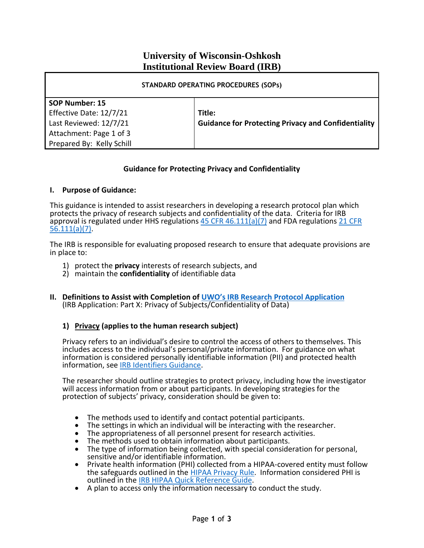# **University of Wisconsin-Oshkosh Institutional Review Board (IRB)**

| <b>STANDARD OPERATING PROCEDURES (SOPS)</b> |                                                            |
|---------------------------------------------|------------------------------------------------------------|
| SOP Number: 15                              |                                                            |
| Effective Date: 12/7/21                     | Title:                                                     |
| Last Reviewed: 12/7/21                      | <b>Guidance for Protecting Privacy and Confidentiality</b> |
| Attachment: Page 1 of 3                     |                                                            |
| Prepared By: Kelly Schill                   |                                                            |

### **Guidance for Protecting Privacy and Confidentiality**

### **I. Purpose of Guidance:**

This guidance is intended to assist researchers in developing a research protocol plan which protects the privacy of research subjects and confidentiality of the data. Criteria for IRB approval is regulated under HHS regulations 45 CFR  $46.111(a)(7)$  and FDA regulations 21 CFR [56.111\(a\)\(7\).](https://www.accessdata.fda.gov/scripts/cdrh/cfdocs/cfcfr/CFRSearch.cfm?fr=56.111)

The IRB is responsible for evaluating proposed research to ensure that adequate provisions are in place to:

- 1) protect the **privacy** interests of research subjects, and
- 2) maintain the **confidentiality** of identifiable data
- **II. Definitions to Assist with Completion of UWO's [IRB Research Protocol](https://uwosh.edu/sponsoredprograms/irb/forms/) Application** (IRB Application: Part X: Privacy of Subjects/Confidentiality of Data)

### **1) Privacy (applies to the human research subject)**

Privacy refers to an individual's desire to control the access of others to themselves. This includes access to the individual's personal/private information. For guidance on what information is considered personally identifiable information (PII) and protected health information, see [IRB Identifiers Guidance.](https://uwosh.edu/sponsoredprograms/wp-content/uploads/sites/29/2019/03/Identifiers-Guidance-3-26-19.pdf)

The researcher should outline strategies to protect privacy, including how the investigator will access information from or about participants. In developing strategies for the protection of subjects' privacy, consideration should be given to:

- The methods used to identify and contact potential participants.
- The settings in which an individual will be interacting with the researcher.
- The appropriateness of all personnel present for research activities.
- The methods used to obtain information about participants.
- The type of information being collected, with special consideration for personal, sensitive and/or identifiable information.
- Private health information (PHI) collected from a HIPAA-covered entity must follow the safeguards outlined in the [HIPAA Privacy Rule.](https://www.hhs.gov/hipaa/for-professionals/privacy/index.html) Information considered PHI is outlined in the [IRB HIPAA Quick Reference Guide.](https://view.officeapps.live.com/op/view.aspx?src=https%3A%2F%2Fuwosh.edu%2Fsponsoredprograms%2Fwp-content%2Fuploads%2Fsites%2F29%2F2017%2F02%2FUWO-IRB-HIPAA-Quick-Reference-Guide-12-3-15.doc&wdOrigin=BROWSELINK)
- A plan to access only the information necessary to conduct the study.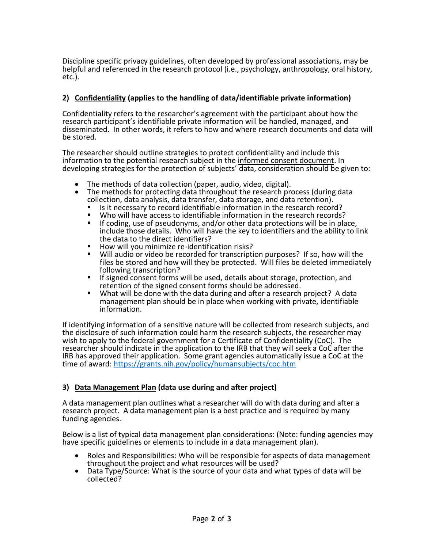Discipline specific privacy guidelines, often developed by professional associations, may be helpful and referenced in the research protocol (i.e., psychology, anthropology, oral history, etc.).

## **2) Confidentiality (applies to the handling of data/identifiable private information)**

Confidentiality refers to the researcher's agreement with the participant about how the research participant's identifiable private information will be handled, managed, and disseminated. In other words, it refers to how and where research documents and data will be stored.

The researcher should outline strategies to protect confidentiality and include this information to the potential research subject in the informed consent document. In developing strategies for the protection of subjects' data, consideration should be given to:

- The methods of data collection (paper, audio, video, digital).
- The methods for protecting data throughout the research process (during data collection, data analysis, data transfer, data storage, and data retention).
	- Is it necessary to record identifiable information in the research record?<br>■ Who will have access to identifiable information in the research records?
	- Who will have access to identifiable information in the research records?<br>■ If coding use of pseudonyms, and/or other data protections will be in pla
	- If coding, use of pseudonyms, and/or other data protections will be in place, include those details. Who will have the key to identifiers and the ability to link the data to the direct identifiers?
	- How will you minimize re-identification risks?
	- Will audio or video be recorded for transcription purposes? If so, how will the files be stored and how will they be protected. Will files be deleted immediately following transcription?
	- If signed consent forms will be used, details about storage, protection, and retention of the signed consent forms should be addressed.
	- What will be done with the data during and after a research project? A data management plan should be in place when working with private, identifiable information.

If identifying information of a sensitive nature will be collected from research subjects, and the disclosure of such information could harm the research subjects, the researcher may wish to apply to the federal government for a Certificate of Confidentiality (CoC). The researcher should indicate in the application to the IRB that they will seek a CoC after the IRB has approved their application. Some grant agencies automatically issue a CoC at the time of award:<https://grants.nih.gov/policy/humansubjects/coc.htm>

### **3) Data Management Plan (data use during and after project)**

A data management plan outlines what a researcher will do with data during and after a research project. A data management plan is a best practice and is required by many funding agencies.

Below is a list of typical data management plan considerations: (Note: funding agencies may have specific guidelines or elements to include in a data management plan).

- Roles and Responsibilities: Who will be responsible for aspects of data management throughout the project and what resources will be used?
- Data Type/Source: What is the source of your data and what types of data will be collected?